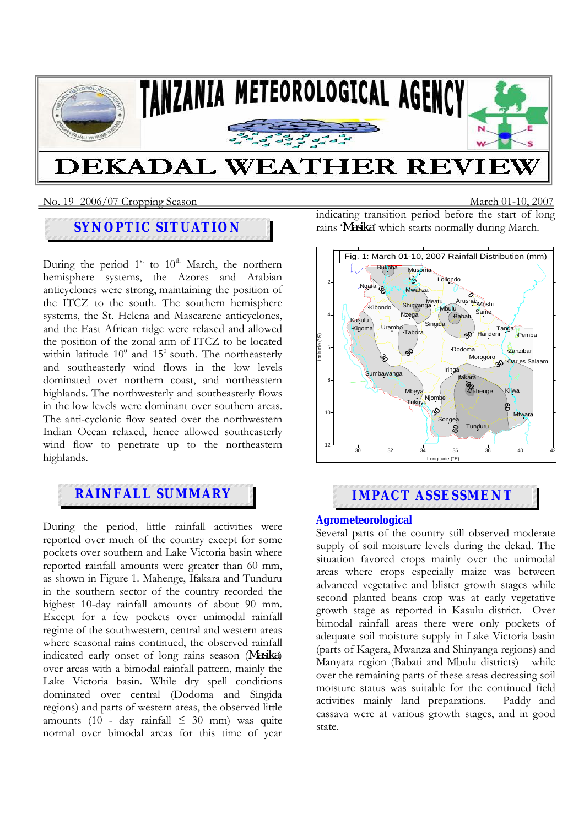

#### No. 19 2006/07 Cropping SeasonMarch 01-10, 2007

## **SYNOPTIC SITUATION**

During the period  $1<sup>st</sup>$  to  $10<sup>th</sup>$  March, the northern hemisphere systems, the Azores and Arabian anticyclones were strong, maintaining the position of the ITCZ to the south. The southern hemisphere systems, the St. Helena and Mascarene anticyclones, and the East African ridge were relaxed and allowed the position of the zonal arm of ITCZ to be located within latitude  $10^0$  and  $15^0$  south. The northeasterly and southeasterly wind flows in the low levels dominated over northern coast, and northeastern highlands. The northwesterly and southeasterly flows in the low levels were dominant over southern areas. The anti-cyclonic flow seated over the northwestern Indian Ocean relaxed, hence allowed southeasterly wind flow to penetrate up to the northeastern highlands.

# **RAINFALL SUMMARY IMPACT ASSESSMENT**

During the period, little rainfall activities were reported over much of the country except for some pockets over southern and Lake Victoria basin where reported rainfall amounts were greater than 60 mm, as shown in Figure 1. Mahenge, Ifakara and Tunduru in the southern sector of the country recorded the highest 10-day rainfall amounts of about 90 mm. Except for a few pockets over unimodal rainfall regime of the southwestern, central and western areas where seasonal rains continued, the observed rainfall indicated early onset of long rains season (*Masika*) over areas with a bimodal rainfall pattern, mainly the Lake Victoria basin. While dry spell conditions dominated over central (Dodoma and Singida regions) and parts of western areas, the observed little amounts (10 - day rainfall  $\leq 30$  mm) was quite normal over bimodal areas for this time of year indicating transition period before the start of long rains '*Masika*' which starts normally during March.



#### **Agrometeorological**

Several parts of the country still observed moderate supply of soil moisture levels during the dekad. The situation favored crops mainly over the unimodal areas where crops especially maize was between advanced vegetative and blister growth stages while second planted beans crop was at early vegetative growth stage as reported in Kasulu district. Over bimodal rainfall areas there were only pockets of adequate soil moisture supply in Lake Victoria basin (parts of Kagera, Mwanza and Shinyanga regions) and Manyara region (Babati and Mbulu districts) while over the remaining parts of these areas decreasing soil moisture status was suitable for the continued field activities mainly land preparations. Paddy and cassava were at various growth stages, and in good state.